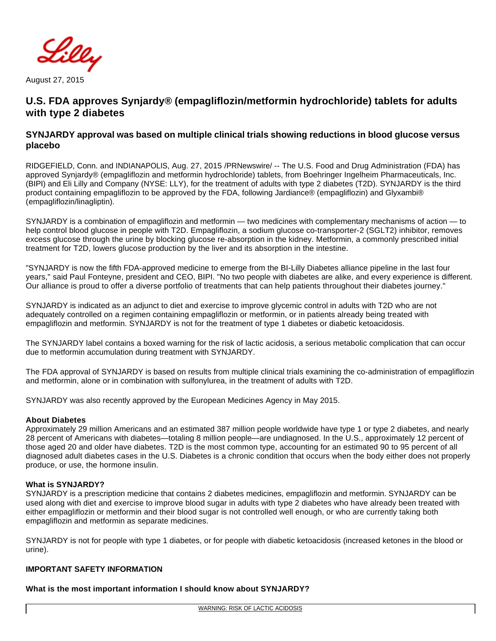

August 27, 2015

# **U.S. FDA approves Synjardy® (empagliflozin/metformin hydrochloride) tablets for adults with type 2 diabetes**

# **SYNJARDY approval was based on multiple clinical trials showing reductions in blood glucose versus placebo**

RIDGEFIELD, Conn. and INDIANAPOLIS, Aug. 27, 2015 /PRNewswire/ -- The U.S. Food and Drug Administration (FDA) has approved Synjardy® (empagliflozin and metformin hydrochloride) tablets, from Boehringer Ingelheim Pharmaceuticals, Inc. (BIPI) and Eli Lilly and Company (NYSE: LLY), for the treatment of adults with type 2 diabetes (T2D). SYNJARDY is the third product containing empagliflozin to be approved by the FDA, following Jardiance® (empagliflozin) and Glyxambi® (empagliflozin/linagliptin).

SYNJARDY is a combination of empagliflozin and metformin — two medicines with complementary mechanisms of action — to help control blood glucose in people with T2D. Empagliflozin, a sodium glucose co-transporter-2 (SGLT2) inhibitor, removes excess glucose through the urine by blocking glucose re-absorption in the kidney. Metformin, a commonly prescribed initial treatment for T2D, lowers glucose production by the liver and its absorption in the intestine.

"SYNJARDY is now the fifth FDA-approved medicine to emerge from the BI-Lilly Diabetes alliance pipeline in the last four years," said Paul Fonteyne, president and CEO, BIPI. "No two people with diabetes are alike, and every experience is different. Our alliance is proud to offer a diverse portfolio of treatments that can help patients throughout their diabetes journey."

SYNJARDY is indicated as an adjunct to diet and exercise to improve glycemic control in adults with T2D who are not adequately controlled on a regimen containing empagliflozin or metformin, or in patients already being treated with empagliflozin and metformin. SYNJARDY is not for the treatment of type 1 diabetes or diabetic ketoacidosis.

The SYNJARDY label contains a boxed warning for the risk of lactic acidosis, a serious metabolic complication that can occur due to metformin accumulation during treatment with SYNJARDY.

The FDA approval of SYNJARDY is based on results from multiple clinical trials examining the co-administration of empagliflozin and metformin, alone or in combination with sulfonylurea, in the treatment of adults with T2D.

SYNJARDY was also recently approved by the European Medicines Agency in May 2015.

## **About Diabetes**

Approximately 29 million Americans and an estimated 387 million people worldwide have type 1 or type 2 diabetes, and nearly 28 percent of Americans with diabetes—totaling 8 million people—are undiagnosed. In the U.S., approximately 12 percent of those aged 20 and older have diabetes. T2D is the most common type, accounting for an estimated 90 to 95 percent of all diagnosed adult diabetes cases in the U.S. Diabetes is a chronic condition that occurs when the body either does not properly produce, or use, the hormone insulin.

### **What is SYNJARDY?**

SYNJARDY is a prescription medicine that contains 2 diabetes medicines, empagliflozin and metformin. SYNJARDY can be used along with diet and exercise to improve blood sugar in adults with type 2 diabetes who have already been treated with either empagliflozin or metformin and their blood sugar is not controlled well enough, or who are currently taking both empagliflozin and metformin as separate medicines.

SYNJARDY is not for people with type 1 diabetes, or for people with diabetic ketoacidosis (increased ketones in the blood or urine).

## **IMPORTANT SAFETY INFORMATION**

**What is the most important information I should know about SYNJARDY?**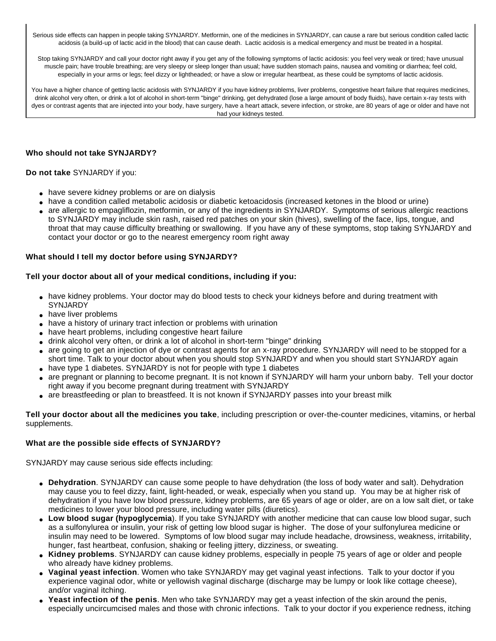Serious side effects can happen in people taking SYNJARDY. Metformin, one of the medicines in SYNJARDY, can cause a rare but serious condition called lactic acidosis (a build-up of lactic acid in the blood) that can cause death. Lactic acidosis is a medical emergency and must be treated in a hospital.

Stop taking SYNJARDY and call your doctor right away if you get any of the following symptoms of lactic acidosis: you feel very weak or tired; have unusual muscle pain; have trouble breathing; are very sleepy or sleep longer than usual; have sudden stomach pains, nausea and vomiting or diarrhea; feel cold, especially in your arms or legs; feel dizzy or lightheaded; or have a slow or irregular heartbeat, as these could be symptoms of lactic acidosis.

You have a higher chance of getting lactic acidosis with SYNJARDY if you have kidney problems, liver problems, congestive heart failure that requires medicines, drink alcohol very often, or drink a lot of alcohol in short-term "binge" drinking, get dehydrated (lose a large amount of body fluids), have certain x-ray tests with dyes or contrast agents that are injected into your body, have surgery, have a heart attack, severe infection, or stroke, are 80 years of age or older and have not had your kidneys tested.

## **Who should not take SYNJARDY?**

**Do not take** SYNJARDY if you:

- have severe kidney problems or are on dialysis
- have a condition called metabolic acidosis or diabetic ketoacidosis (increased ketones in the blood or urine)
- are allergic to empagliflozin, metformin, or any of the ingredients in SYNJARDY. Symptoms of serious allergic reactions to SYNJARDY may include skin rash, raised red patches on your skin (hives), swelling of the face, lips, tongue, and throat that may cause difficulty breathing or swallowing. If you have any of these symptoms, stop taking SYNJARDY and contact your doctor or go to the nearest emergency room right away

### **What should I tell my doctor before using SYNJARDY?**

### **Tell your doctor about all of your medical conditions, including if you:**

- have kidney problems. Your doctor may do blood tests to check your kidneys before and during treatment with **SYNJARDY**
- have liver problems
- have a history of urinary tract infection or problems with urination
- have heart problems, including congestive heart failure
- drink alcohol very often, or drink a lot of alcohol in short-term "binge" drinking
- are going to get an injection of dye or contrast agents for an x-ray procedure. SYNJARDY will need to be stopped for a short time. Talk to your doctor about when you should stop SYNJARDY and when you should start SYNJARDY again
- have type 1 diabetes. SYNJARDY is not for people with type 1 diabetes
- are pregnant or planning to become pregnant. It is not known if SYNJARDY will harm your unborn baby. Tell your doctor right away if you become pregnant during treatment with SYNJARDY
- are breastfeeding or plan to breastfeed. It is not known if SYNJARDY passes into your breast milk

**Tell your doctor about all the medicines you take**, including prescription or over-the-counter medicines, vitamins, or herbal supplements.

## **What are the possible side effects of SYNJARDY?**

SYNJARDY may cause serious side effects including:

- **Dehydration**. SYNJARDY can cause some people to have dehydration (the loss of body water and salt). Dehydration may cause you to feel dizzy, faint, light-headed, or weak, especially when you stand up. You may be at higher risk of dehydration if you have low blood pressure, kidney problems, are 65 years of age or older, are on a low salt diet, or take medicines to lower your blood pressure, including water pills (diuretics).
- **Low blood sugar (hypoglycemia**). If you take SYNJARDY with another medicine that can cause low blood sugar, such as a sulfonylurea or insulin, your risk of getting low blood sugar is higher. The dose of your sulfonylurea medicine or insulin may need to be lowered. Symptoms of low blood sugar may include headache, drowsiness, weakness, irritability, hunger, fast heartbeat, confusion, shaking or feeling jittery, dizziness, or sweating.
- **Kidney problems**. SYNJARDY can cause kidney problems, especially in people 75 years of age or older and people who already have kidney problems.
- Vaginal yeast infection. Women who take SYNJARDY may get vaginal yeast infections. Talk to your doctor if you experience vaginal odor, white or yellowish vaginal discharge (discharge may be lumpy or look like cottage cheese), and/or vaginal itching.
- Yeast infection of the penis. Men who take SYNJARDY may get a yeast infection of the skin around the penis, especially uncircumcised males and those with chronic infections. Talk to your doctor if you experience redness, itching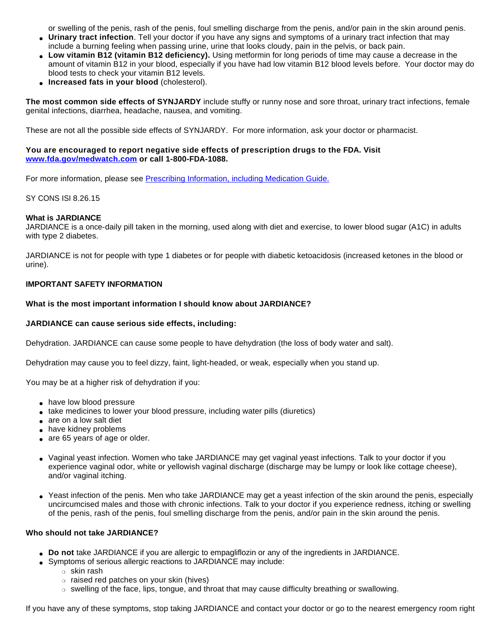or swelling of the penis, rash of the penis, foul smelling discharge from the penis, and/or pain in the skin around penis.

- **Urinary tract infection**. Tell your doctor if you have any signs and symptoms of a urinary tract infection that may include a burning feeling when passing urine, urine that looks cloudy, pain in the pelvis, or back pain.
- **Low vitamin B12 (vitamin B12 deficiency).** Using metformin for long periods of time may cause a decrease in the amount of vitamin B12 in your blood, especially if you have had low vitamin B12 blood levels before. Your doctor may do blood tests to check your vitamin B12 levels.
- **Increased fats in your blood** (cholesterol).

**The most common side effects of SYNJARDY** include stuffy or runny nose and sore throat, urinary tract infections, female genital infections, diarrhea, headache, nausea, and vomiting.

These are not all the possible side effects of SYNJARDY. For more information, ask your doctor or pharmacist.

## **You are encouraged to report negative side effects of prescription drugs to the FDA. Visit [www.fda.gov/medwatch.com](http://www.fda.gov/medwatch.com) or call 1-800-FDA-1088.**

For more information, please see [Prescribing Information, including Medication Guide.](http://bidocs.boehringer-ingelheim.com/BIWebAccess/ViewServlet.ser?docBase=renetnt&folderPath=/Prescribing+Information/PIs/Synjardy/Synjardy.pdf)

## SY CONS ISI 8.26.15

## **What is JARDIANCE**

JARDIANCE is a once-daily pill taken in the morning, used along with diet and exercise, to lower blood sugar (A1C) in adults with type 2 diabetes.

JARDIANCE is not for people with type 1 diabetes or for people with diabetic ketoacidosis (increased ketones in the blood or urine).

## **IMPORTANT SAFETY INFORMATION**

## **What is the most important information I should know about JARDIANCE?**

## **JARDIANCE can cause serious side effects, including:**

Dehydration. JARDIANCE can cause some people to have dehydration (the loss of body water and salt).

Dehydration may cause you to feel dizzy, faint, light-headed, or weak, especially when you stand up.

You may be at a higher risk of dehydration if you:

- have low blood pressure
- take medicines to lower your blood pressure, including water pills (diuretics)
- are on a low salt diet
- have kidney problems
- are 65 years of age or older.
- Vaginal yeast infection. Women who take JARDIANCE may get vaginal yeast infections. Talk to your doctor if you experience vaginal odor, white or yellowish vaginal discharge (discharge may be lumpy or look like cottage cheese), and/or vaginal itching.
- Yeast infection of the penis. Men who take JARDIANCE may get a yeast infection of the skin around the penis, especially uncircumcised males and those with chronic infections. Talk to your doctor if you experience redness, itching or swelling of the penis, rash of the penis, foul smelling discharge from the penis, and/or pain in the skin around the penis.

## **Who should not take JARDIANCE?**

- **Do not** take JARDIANCE if you are allergic to empagliflozin or any of the ingredients in JARDIANCE.
- Symptoms of serious allergic reactions to JARDIANCE may include:
	- ❍ skin rash
		- ❍ raised red patches on your skin (hives)
		- $\circ$  swelling of the face, lips, tongue, and throat that may cause difficulty breathing or swallowing.

If you have any of these symptoms, stop taking JARDIANCE and contact your doctor or go to the nearest emergency room right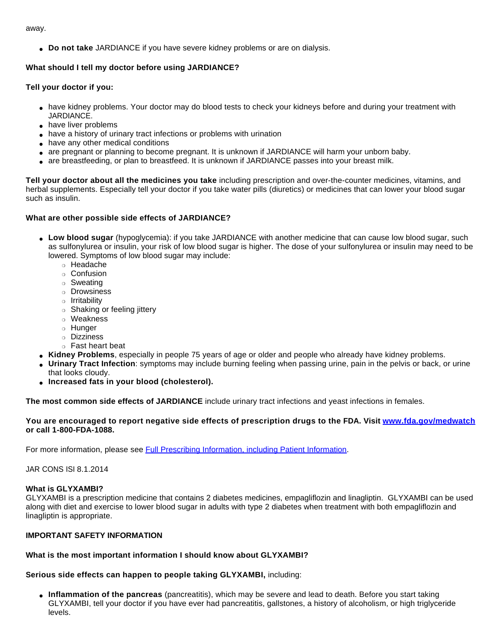away.

● **Do not take** JARDIANCE if you have severe kidney problems or are on dialysis.

# **What should I tell my doctor before using JARDIANCE?**

# **Tell your doctor if you:**

- have kidney problems. Your doctor may do blood tests to check your kidneys before and during your treatment with JARDIANCE.
- have liver problems
- have a history of urinary tract infections or problems with urination
- have any other medical conditions
- are pregnant or planning to become pregnant. It is unknown if JARDIANCE will harm your unborn baby.
- are breastfeeding, or plan to breastfeed. It is unknown if JARDIANCE passes into your breast milk.

**Tell your doctor about all the medicines you take** including prescription and over-the-counter medicines, vitamins, and herbal supplements. Especially tell your doctor if you take water pills (diuretics) or medicines that can lower your blood sugar such as insulin.

# **What are other possible side effects of JARDIANCE?**

- Low blood sugar (hypoglycemia): if you take JARDIANCE with another medicine that can cause low blood sugar, such as sulfonylurea or insulin, your risk of low blood sugar is higher. The dose of your sulfonylurea or insulin may need to be lowered. Symptoms of low blood sugar may include:
	- ❍ Headache
	- ❍ Confusion
	- ❍ Sweating
	- ❍ Drowsiness
	- ❍ Irritability
	- ❍ Shaking or feeling jittery
	- ❍ Weakness
	- ❍ Hunger
	- ❍ Dizziness
	- ❍ Fast heart beat
- **Kidney Problems**, especially in people 75 years of age or older and people who already have kidney problems.
- **Urinary Tract Infection**: symptoms may include burning feeling when passing urine, pain in the pelvis or back, or urine that looks cloudy.
- **Increased fats in your blood (cholesterol).**

**The most common side effects of JARDIANCE** include urinary tract infections and yeast infections in females.

## **You are encouraged to report negative side effects of prescription drugs to the FDA. Visit [www.fda.gov/medwatch](http://www.fda.gov/medwatch) or call 1-800-FDA-1088.**

For more information, please see [Full Prescribing Information, including Patient Information](http://bidocs.boehringer-ingelheim.com/BIWebAccess/ViewServlet.ser?docBase=renetnt&folderPath=/Prescribing+Information/PIs/Jardiance/jardiance.pdf).

JAR CONS ISI 8.1.2014

## **What is GLYXAMBI?**

GLYXAMBI is a prescription medicine that contains 2 diabetes medicines, empagliflozin and linagliptin. GLYXAMBI can be used along with diet and exercise to lower blood sugar in adults with type 2 diabetes when treatment with both empagliflozin and linagliptin is appropriate.

## **IMPORTANT SAFETY INFORMATION**

# **What is the most important information I should know about GLYXAMBI?**

**Serious side effects can happen to people taking GLYXAMBI,** including:

● **Inflammation of the pancreas** (pancreatitis), which may be severe and lead to death. Before you start taking GLYXAMBI, tell your doctor if you have ever had pancreatitis, gallstones, a history of alcoholism, or high triglyceride levels.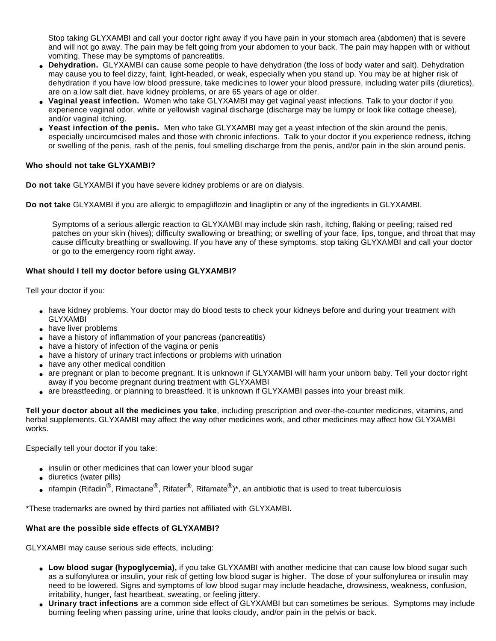Stop taking GLYXAMBI and call your doctor right away if you have pain in your stomach area (abdomen) that is severe and will not go away. The pain may be felt going from your abdomen to your back. The pain may happen with or without vomiting. These may be symptoms of pancreatitis.

- **Dehydration.** GLYXAMBI can cause some people to have dehydration (the loss of body water and salt). Dehydration may cause you to feel dizzy, faint, light-headed, or weak, especially when you stand up. You may be at higher risk of dehydration if you have low blood pressure, take medicines to lower your blood pressure, including water pills (diuretics), are on a low salt diet, have kidney problems, or are 65 years of age or older.
- **Vaginal yeast infection.** Women who take GLYXAMBI may get vaginal yeast infections. Talk to your doctor if you experience vaginal odor, white or yellowish vaginal discharge (discharge may be lumpy or look like cottage cheese), and/or vaginal itching.
- **Yeast infection of the penis.** Men who take GLYXAMBI may get a yeast infection of the skin around the penis, especially uncircumcised males and those with chronic infections. Talk to your doctor if you experience redness, itching or swelling of the penis, rash of the penis, foul smelling discharge from the penis, and/or pain in the skin around penis.

## **Who should not take GLYXAMBI?**

**Do not take** GLYXAMBI if you have severe kidney problems or are on dialysis.

**Do not take** GLYXAMBI if you are allergic to empagliflozin and linagliptin or any of the ingredients in GLYXAMBI.

Symptoms of a serious allergic reaction to GLYXAMBI may include skin rash, itching, flaking or peeling; raised red patches on your skin (hives); difficulty swallowing or breathing; or swelling of your face, lips, tongue, and throat that may cause difficulty breathing or swallowing. If you have any of these symptoms, stop taking GLYXAMBI and call your doctor or go to the emergency room right away.

## **What should I tell my doctor before using GLYXAMBI?**

Tell your doctor if you:

- have kidney problems. Your doctor may do blood tests to check your kidneys before and during your treatment with GLYXAMBI
- have liver problems
- have a history of inflammation of your pancreas (pancreatitis)
- have a history of infection of the vagina or penis
- have a history of urinary tract infections or problems with urination
- have any other medical condition
- are pregnant or plan to become pregnant. It is unknown if GLYXAMBI will harm your unborn baby. Tell your doctor right away if you become pregnant during treatment with GLYXAMBI
- are breastfeeding, or planning to breastfeed. It is unknown if GLYXAMBI passes into your breast milk.

**Tell your doctor about all the medicines you take**, including prescription and over-the-counter medicines, vitamins, and herbal supplements. GLYXAMBI may affect the way other medicines work, and other medicines may affect how GLYXAMBI works.

Especially tell your doctor if you take:

- insulin or other medicines that can lower your blood sugar
- diuretics (water pills)
- rifampin (Rifadin<sup>®</sup>, Rimactane<sup>®</sup>, Rifater<sup>®</sup>, Rifamate<sup>®</sup>)\*, an antibiotic that is used to treat tuberculosis

\*These trademarks are owned by third parties not affiliated with GLYXAMBI.

## **What are the possible side effects of GLYXAMBI?**

GLYXAMBI may cause serious side effects, including:

- Low blood sugar (hypoglycemia), if you take GLYXAMBI with another medicine that can cause low blood sugar such as a sulfonylurea or insulin, your risk of getting low blood sugar is higher. The dose of your sulfonylurea or insulin may need to be lowered. Signs and symptoms of low blood sugar may include headache, drowsiness, weakness, confusion, irritability, hunger, fast heartbeat, sweating, or feeling jittery.
- **Urinary tract infections** are a common side effect of GLYXAMBI but can sometimes be serious. Symptoms may include burning feeling when passing urine, urine that looks cloudy, and/or pain in the pelvis or back.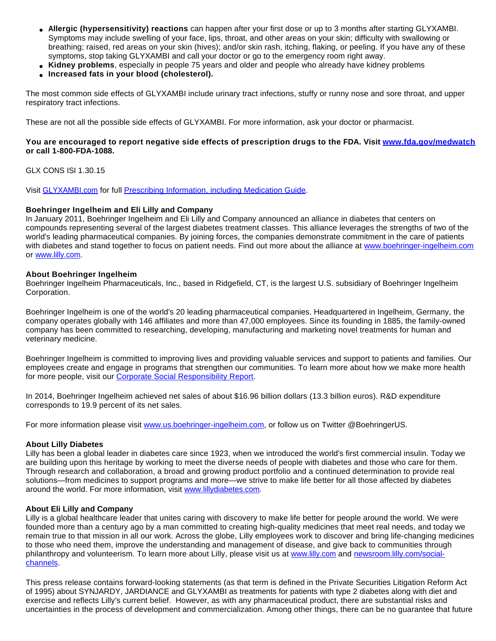- **Allergic (hypersensitivity) reactions** can happen after your first dose or up to 3 months after starting GLYXAMBI. Symptoms may include swelling of your face, lips, throat, and other areas on your skin; difficulty with swallowing or breathing; raised, red areas on your skin (hives); and/or skin rash, itching, flaking, or peeling. If you have any of these symptoms, stop taking GLYXAMBI and call your doctor or go to the emergency room right away.
- **Kidney problems**, especially in people 75 years and older and people who already have kidney problems
- **Increased fats in your blood (cholesterol).**

The most common side effects of GLYXAMBI include urinary tract infections, stuffy or runny nose and sore throat, and upper respiratory tract infections.

These are not all the possible side effects of GLYXAMBI. For more information, ask your doctor or pharmacist.

## **You are encouraged to report negative side effects of prescription drugs to the FDA. Visit [www.fda.gov/medwatch](http://www.fda.gov/medwatch) or call 1-800-FDA-1088.**

GLX CONS ISI 1.30.15

Visit [GLYXAMBI.com](http://www.glyxambi.com/) for full [Prescribing Information, including Medication Guide](http://bidocs.boehringer-ingelheim.com/BIWebAccess/ViewServlet.ser?docBase=renetnt&folderPath=/Prescribing+Information/PIs/Glyxambi/Glyxambi.pdf).

#### **Boehringer Ingelheim and Eli Lilly and Company**

In January 2011, Boehringer Ingelheim and Eli Lilly and Company announced an alliance in diabetes that centers on compounds representing several of the largest diabetes treatment classes. This alliance leverages the strengths of two of the world's leading pharmaceutical companies. By joining forces, the companies demonstrate commitment in the care of patients with diabetes and stand together to focus on patient needs. Find out more about the alliance at [www.boehringer-ingelheim.com](http://www.boehringer-ingelheim.com/) or [www.lilly.com](http://www.lilly.com/).

#### **About Boehringer Ingelheim**

Boehringer Ingelheim Pharmaceuticals, Inc., based in Ridgefield, CT, is the largest U.S. subsidiary of Boehringer Ingelheim Corporation.

Boehringer Ingelheim is one of the world's 20 leading pharmaceutical companies. Headquartered in Ingelheim, Germany, the company operates globally with 146 affiliates and more than 47,000 employees. Since its founding in 1885, the family-owned company has been committed to researching, developing, manufacturing and marketing novel treatments for human and veterinary medicine.

Boehringer Ingelheim is committed to improving lives and providing valuable services and support to patients and families. Our employees create and engage in programs that strengthen our communities. To learn more about how we make more health for more people, visit our [Corporate Social Responsibility Report.](http://givingreport.us.boehringer-ingelheim.com/)

In 2014, Boehringer Ingelheim achieved net sales of about \$16.96 billion dollars (13.3 billion euros). R&D expenditure corresponds to 19.9 percent of its net sales.

For more information please visit [www.us.boehringer-ingelheim.com](http://www.us.boehringer-ingelheim.com/), or follow us on Twitter @BoehringerUS.

#### **About Lilly Diabetes**

Lilly has been a global leader in diabetes care since 1923, when we introduced the world's first commercial insulin. Today we are building upon this heritage by working to meet the diverse needs of people with diabetes and those who care for them. Through research and collaboration, a broad and growing product portfolio and a continued determination to provide real solutions—from medicines to support programs and more—we strive to make life better for all those affected by diabetes around the world. For more information, visit [www.lillydiabetes.com.](http://www.lillydiabetes.com/)

## **About Eli Lilly and Company**

Lilly is a global healthcare leader that unites caring with discovery to make life better for people around the world. We were founded more than a century ago by a man committed to creating high-quality medicines that meet real needs, and today we remain true to that mission in all our work. Across the globe, Lilly employees work to discover and bring life-changing medicines to those who need them, improve the understanding and management of disease, and give back to communities through philanthropy and volunteerism. To learn more about Lilly, please visit us at [www.lilly.com](http://www.lilly.com/) and [newsroom.lilly.com/social](http://newsroom.lilly.com/social-channels)[channels](http://newsroom.lilly.com/social-channels).

This press release contains forward-looking statements (as that term is defined in the Private Securities Litigation Reform Act of 1995) about SYNJARDY, JARDIANCE and GLYXAMBI as treatments for patients with type 2 diabetes along with diet and exercise and reflects Lilly's current belief. However, as with any pharmaceutical product, there are substantial risks and uncertainties in the process of development and commercialization. Among other things, there can be no guarantee that future